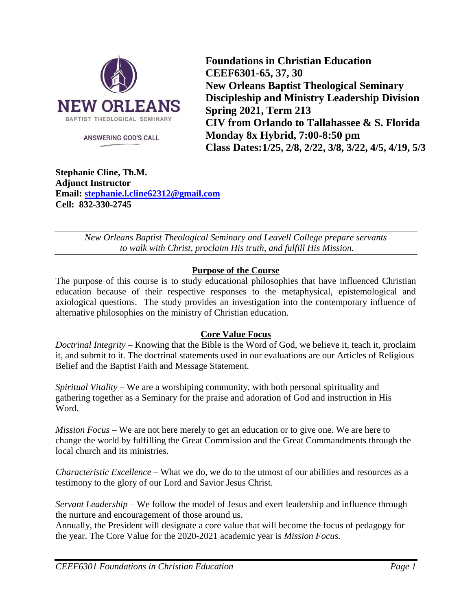

**ANSWERING GOD'S CALL** 

**Foundations in Christian Education CEEF6301-65, 37, 30 New Orleans Baptist Theological Seminary Discipleship and Ministry Leadership Division Spring 2021, Term 213 CIV from Orlando to Tallahassee & S. Florida Monday 8x Hybrid, 7:00-8:50 pm Class Dates:1/25, 2/8, 2/22, 3/8, 3/22, 4/5, 4/19, 5/3**

**Stephanie Cline, Th.M. Adjunct Instructor Email: [stephanie.l.cline62312@gmail.com](mailto:stephanie.l.cline62312@gmail.com) Cell: 832-330-2745**

> *New Orleans Baptist Theological Seminary and Leavell College prepare servants to walk with Christ, proclaim His truth, and fulfill His Mission.*

## **Purpose of the Course**

The purpose of this course is to study educational philosophies that have influenced Christian education because of their respective responses to the metaphysical, epistemological and axiological questions. The study provides an investigation into the contemporary influence of alternative philosophies on the ministry of Christian education.

# **Core Value Focus**

*Doctrinal Integrity* – Knowing that the Bible is the Word of God, we believe it, teach it, proclaim it, and submit to it. The doctrinal statements used in our evaluations are our Articles of Religious Belief and the Baptist Faith and Message Statement.

*Spiritual Vitality* – We are a worshiping community, with both personal spirituality and gathering together as a Seminary for the praise and adoration of God and instruction in His Word.

*Mission Focus* – We are not here merely to get an education or to give one. We are here to change the world by fulfilling the Great Commission and the Great Commandments through the local church and its ministries.

*Characteristic Excellence* – What we do, we do to the utmost of our abilities and resources as a testimony to the glory of our Lord and Savior Jesus Christ.

*Servant Leadership* – We follow the model of Jesus and exert leadership and influence through the nurture and encouragement of those around us.

Annually, the President will designate a core value that will become the focus of pedagogy for the year. The Core Value for the 2020-2021 academic year is *Mission Focus.*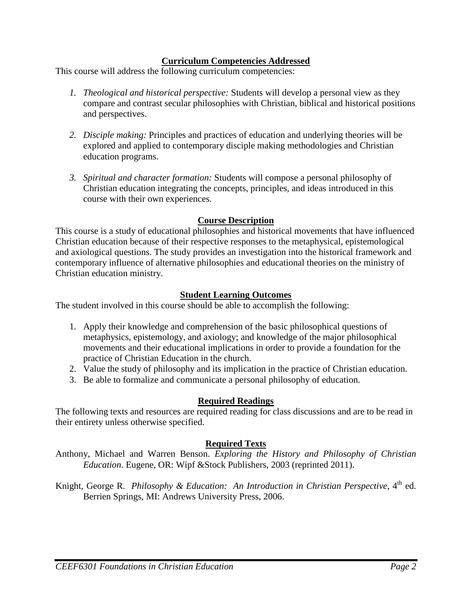#### **Curriculum Competencies Addressed**

This course will address the following curriculum competencies:

- *1. Theological and historical perspective:* Students will develop a personal view as they compare and contrast secular philosophies with Christian, biblical and historical positions and perspectives.
- *2. Disciple making:* Principles and practices of education and underlying theories will be explored and applied to contemporary disciple making methodologies and Christian education programs.
- *3. Spiritual and character formation:* Students will compose a personal philosophy of Christian education integrating the concepts, principles, and ideas introduced in this course with their own experiences.

## **Course Description**

This course is a study of educational philosophies and historical movements that have influenced Christian education because of their respective responses to the metaphysical, epistemological and axiological questions. The study provides an investigation into the historical framework and contemporary influence of alternative philosophies and educational theories on the ministry of Christian education ministry.

## **Student Learning Outcomes**

The student involved in this course should be able to accomplish the following:

- 1. Apply their knowledge and comprehension of the basic philosophical questions of metaphysics, epistemology, and axiology; and knowledge of the major philosophical movements and their educational implications in order to provide a foundation for the practice of Christian Education in the church.
- 2. Value the study of philosophy and its implication in the practice of Christian education.
- 3. Be able to formalize and communicate a personal philosophy of education.

# **Required Readings**

The following texts and resources are required reading for class discussions and are to be read in their entirety unless otherwise specified.

#### **Required Texts**

Anthony, Michael and Warren Benson. *Exploring the History and Philosophy of Christian Education*. Eugene, OR: Wipf &Stock Publishers, 2003 (reprinted 2011).

Knight, George R. Philosophy & Education: An Introduction in Christian Perspective, 4<sup>th</sup> ed. Berrien Springs, MI: Andrews University Press, 2006.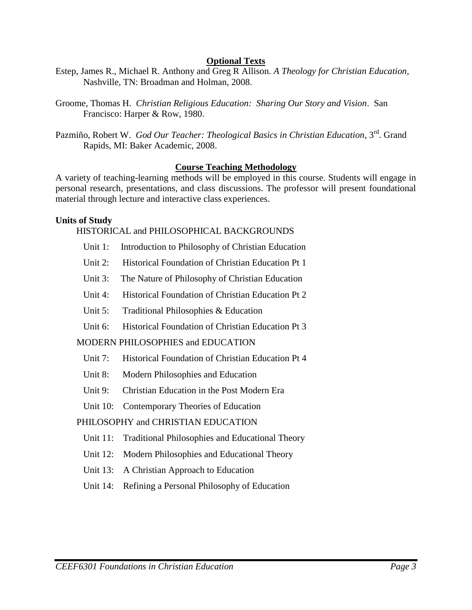#### **Optional Texts**

- Estep, James R., Michael R. Anthony and Greg R Allison*. A Theology for Christian Education,* Nashville, TN: Broadman and Holman, 2008.
- Groome, Thomas H. *Christian Religious Education: Sharing Our Story and Vision*. San Francisco: Harper & Row, 1980.
- Pazmiño, Robert W. *God Our Teacher: Theological Basics in Christian Education*, 3<sup>rd</sup>. Grand Rapids, MI: Baker Academic, 2008.

#### **Course Teaching Methodology**

A variety of teaching-learning methods will be employed in this course. Students will engage in personal research, presentations, and class discussions. The professor will present foundational material through lecture and interactive class experiences.

#### **Units of Study**

## HISTORICAL and PHILOSOPHICAL BACKGROUNDS

- Unit 1: Introduction to Philosophy of Christian Education
- Unit 2: Historical Foundation of Christian Education Pt 1
- Unit 3: The Nature of Philosophy of Christian Education
- Unit 4: Historical Foundation of Christian Education Pt 2
- Unit 5: Traditional Philosophies & Education
- Unit 6: Historical Foundation of Christian Education Pt 3

#### MODERN PHILOSOPHIES and EDUCATION

- Unit 7: Historical Foundation of Christian Education Pt 4
- Unit 8: Modern Philosophies and Education
- Unit 9: Christian Education in the Post Modern Era
- Unit 10: Contemporary Theories of Education

#### PHILOSOPHY and CHRISTIAN EDUCATION

- Unit 11: Traditional Philosophies and Educational Theory
- Unit 12: Modern Philosophies and Educational Theory
- Unit 13: A Christian Approach to Education
- Unit 14: Refining a Personal Philosophy of Education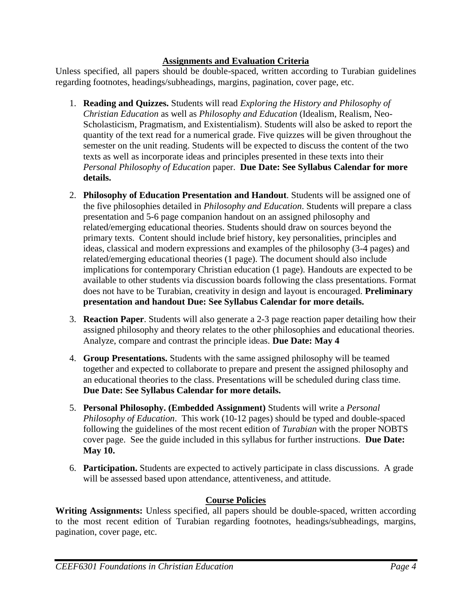## **Assignments and Evaluation Criteria**

Unless specified, all papers should be double-spaced, written according to Turabian guidelines regarding footnotes, headings/subheadings, margins, pagination, cover page, etc.

- 1. **Reading and Quizzes.** Students will read *Exploring the History and Philosophy of Christian Education* as well as *Philosophy and Education* (Idealism, Realism, Neo-Scholasticism, Pragmatism, and Existentialism). Students will also be asked to report the quantity of the text read for a numerical grade. Five quizzes will be given throughout the semester on the unit reading. Students will be expected to discuss the content of the two texts as well as incorporate ideas and principles presented in these texts into their *Personal Philosophy of Education* paper. **Due Date: See Syllabus Calendar for more details.**
- 2. **Philosophy of Education Presentation and Handout**. Students will be assigned one of the five philosophies detailed in *Philosophy and Education*. Students will prepare a class presentation and 5-6 page companion handout on an assigned philosophy and related/emerging educational theories. Students should draw on sources beyond the primary texts. Content should include brief history, key personalities, principles and ideas, classical and modern expressions and examples of the philosophy (3-4 pages) and related/emerging educational theories (1 page). The document should also include implications for contemporary Christian education (1 page). Handouts are expected to be available to other students via discussion boards following the class presentations. Format does not have to be Turabian, creativity in design and layout is encouraged. **Preliminary presentation and handout Due: See Syllabus Calendar for more details.**
- 3. **Reaction Paper**. Students will also generate a 2-3 page reaction paper detailing how their assigned philosophy and theory relates to the other philosophies and educational theories. Analyze, compare and contrast the principle ideas. **Due Date: May 4**
- 4. **Group Presentations.** Students with the same assigned philosophy will be teamed together and expected to collaborate to prepare and present the assigned philosophy and an educational theories to the class. Presentations will be scheduled during class time. **Due Date: See Syllabus Calendar for more details.**
- 5. **Personal Philosophy. (Embedded Assignment)** Students will write a *Personal Philosophy of Education*. This work (10-12 pages) should be typed and double-spaced following the guidelines of the most recent edition of *Turabian* with the proper NOBTS cover page. See the guide included in this syllabus for further instructions. **Due Date: May 10.**
- 6. **Participation.** Students are expected to actively participate in class discussions. A grade will be assessed based upon attendance, attentiveness, and attitude.

# **Course Policies**

**Writing Assignments:** Unless specified, all papers should be double-spaced, written according to the most recent edition of Turabian regarding footnotes, headings/subheadings, margins, pagination, cover page, etc.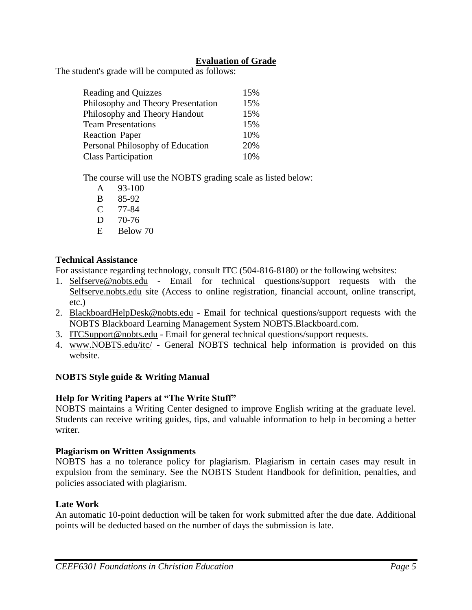# **Evaluation of Grade**

The student's grade will be computed as follows:

| Reading and Quizzes                | 15% |
|------------------------------------|-----|
| Philosophy and Theory Presentation | 15% |
| Philosophy and Theory Handout      | 15% |
| <b>Team Presentations</b>          | 15% |
| <b>Reaction Paper</b>              | 10% |
| Personal Philosophy of Education   | 20% |
| <b>Class Participation</b>         | 10% |

The course will use the NOBTS grading scale as listed below:

- A 93-100
- B 85-92
- C 77-84
- D 70-76
- E Below 70

## **Technical Assistance**

For assistance regarding technology, consult ITC (504-816-8180) or the following websites:

- 1. Selfserve@nobts.edu Email for technical questions/support requests with the Selfserve.nobts.edu site (Access to online registration, financial account, online transcript, etc.)
- 2. BlackboardHelpDesk@nobts.edu Email for technical questions/support requests with the NOBTS Blackboard Learning Management System NOBTS.Blackboard.com.
- 3. ITCSupport@nobts.edu Email for general technical questions/support requests.
- 4. www.NOBTS.edu/itc/ General NOBTS technical help information is provided on this website.

# **NOBTS Style guide & Writing Manual**

# **Help for Writing Papers at "The Write Stuff"**

NOBTS maintains a Writing Center designed to improve English writing at the graduate level. Students can receive writing guides, tips, and valuable information to help in becoming a better writer.

# **Plagiarism on Written Assignments**

NOBTS has a no tolerance policy for plagiarism. Plagiarism in certain cases may result in expulsion from the seminary. See the NOBTS Student Handbook for definition, penalties, and policies associated with plagiarism.

# **Late Work**

An automatic 10-point deduction will be taken for work submitted after the due date. Additional points will be deducted based on the number of days the submission is late.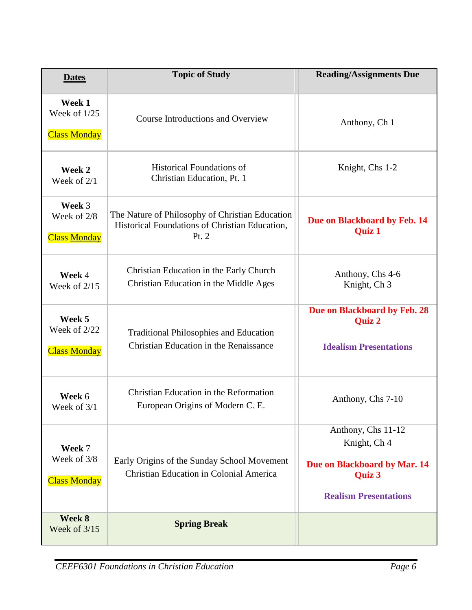| <b>Dates</b>                                  | <b>Topic of Study</b>                                                                                        | <b>Reading/Assignments Due</b>                                                                               |
|-----------------------------------------------|--------------------------------------------------------------------------------------------------------------|--------------------------------------------------------------------------------------------------------------|
| Week 1<br>Week of 1/25<br><b>Class Monday</b> | <b>Course Introductions and Overview</b>                                                                     | Anthony, Ch 1                                                                                                |
| Week 2<br>Week of $2/1$                       | <b>Historical Foundations of</b><br>Christian Education, Pt. 1                                               | Knight, Chs 1-2                                                                                              |
| Week 3<br>Week of 2/8<br><b>Class Monday</b>  | The Nature of Philosophy of Christian Education<br>Historical Foundations of Christian Education,<br>Pt. $2$ | Due on Blackboard by Feb. 14<br><b>Quiz 1</b>                                                                |
| Week 4<br>Week of $2/15$                      | Christian Education in the Early Church<br>Christian Education in the Middle Ages                            | Anthony, Chs 4-6<br>Knight, Ch 3                                                                             |
| Week 5<br>Week of 2/22<br><b>Class Monday</b> | <b>Traditional Philosophies and Education</b><br>Christian Education in the Renaissance                      | Due on Blackboard by Feb. 28<br><b>Quiz 2</b><br><b>Idealism Presentations</b>                               |
| Week 6<br>Week of 3/1                         | Christian Education in the Reformation<br>European Origins of Modern C. E.                                   | Anthony, Chs 7-10                                                                                            |
| Week 7<br>Week of 3/8<br><b>Class Monday</b>  | Early Origins of the Sunday School Movement<br><b>Christian Education in Colonial America</b>                | Anthony, Chs 11-12<br>Knight, Ch 4<br>Due on Blackboard by Mar. 14<br>Quiz 3<br><b>Realism Presentations</b> |
| Week 8<br>Week of 3/15                        | <b>Spring Break</b>                                                                                          |                                                                                                              |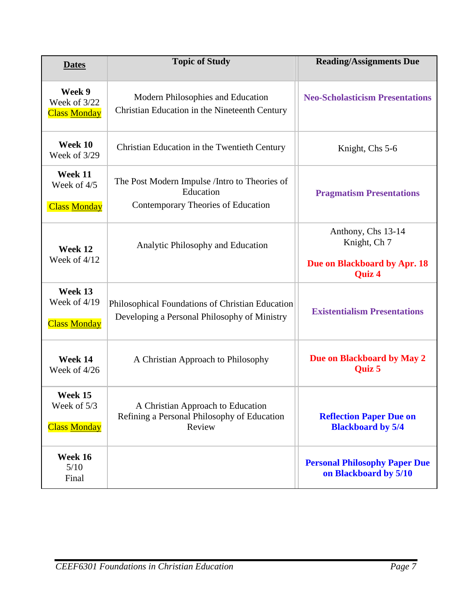| <b>Dates</b>                                   | <b>Topic of Study</b>                                                                             | <b>Reading/Assignments Due</b>                                               |
|------------------------------------------------|---------------------------------------------------------------------------------------------------|------------------------------------------------------------------------------|
| Week 9<br>Week of 3/22<br><b>Class Monday</b>  | Modern Philosophies and Education<br>Christian Education in the Nineteenth Century                | <b>Neo-Scholasticism Presentations</b>                                       |
| Week 10<br>Week of 3/29                        | Christian Education in the Twentieth Century                                                      | Knight, Chs 5-6                                                              |
| Week 11<br>Week of 4/5<br><b>Class Monday</b>  | The Post Modern Impulse / Intro to Theories of<br>Education<br>Contemporary Theories of Education | <b>Pragmatism Presentations</b>                                              |
| Week 12<br>Week of 4/12                        | Analytic Philosophy and Education                                                                 | Anthony, Chs 13-14<br>Knight, Ch 7<br>Due on Blackboard by Apr. 18<br>Quiz 4 |
| Week 13<br>Week of 4/19<br><b>Class Monday</b> | Philosophical Foundations of Christian Education<br>Developing a Personal Philosophy of Ministry  | <b>Existentialism Presentations</b>                                          |
| Week 14<br>Week of 4/26                        | A Christian Approach to Philosophy                                                                | Due on Blackboard by May 2<br>Quiz 5                                         |
| Week 15<br>Week of 5/3<br><b>Class Monday</b>  | A Christian Approach to Education<br>Refining a Personal Philosophy of Education<br>Review        | <b>Reflection Paper Due on</b><br><b>Blackboard by 5/4</b>                   |
| Week 16<br>5/10<br>Final                       |                                                                                                   | <b>Personal Philosophy Paper Due</b><br>on Blackboard by 5/10                |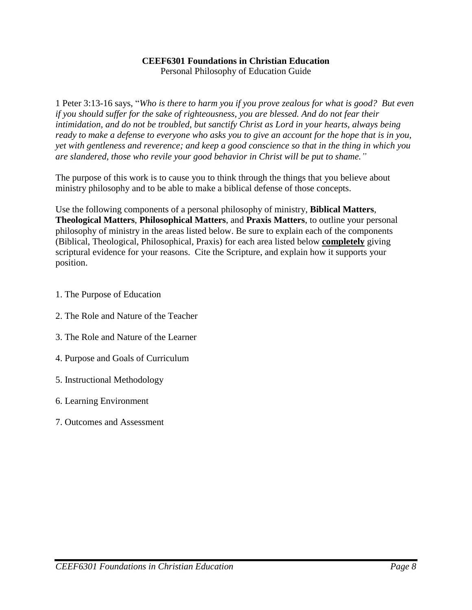#### **CEEF6301 Foundations in Christian Education**

Personal Philosophy of Education Guide

1 Peter 3:13-16 says, "*Who is there to harm you if you prove zealous for what is good? But even if you should suffer for the sake of righteousness, you are blessed. And do not fear their intimidation, and do not be troubled, but sanctify Christ as Lord in your hearts, always being ready to make a defense to everyone who asks you to give an account for the hope that is in you, yet with gentleness and reverence; and keep a good conscience so that in the thing in which you are slandered, those who revile your good behavior in Christ will be put to shame."*

The purpose of this work is to cause you to think through the things that you believe about ministry philosophy and to be able to make a biblical defense of those concepts.

Use the following components of a personal philosophy of ministry, **Biblical Matters**, **Theological Matters**, **Philosophical Matters**, and **Praxis Matters**, to outline your personal philosophy of ministry in the areas listed below. Be sure to explain each of the components (Biblical, Theological, Philosophical, Praxis) for each area listed below **completely** giving scriptural evidence for your reasons. Cite the Scripture, and explain how it supports your position.

- 1. The Purpose of Education
- 2. The Role and Nature of the Teacher
- 3. The Role and Nature of the Learner
- 4. Purpose and Goals of Curriculum
- 5. Instructional Methodology
- 6. Learning Environment
- 7. Outcomes and Assessment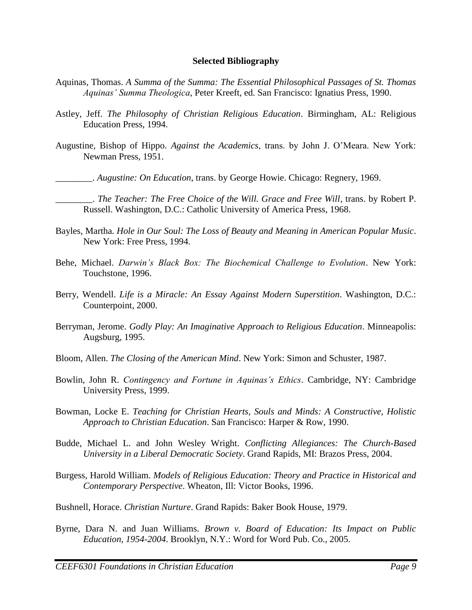#### **Selected Bibliography**

- Aquinas, Thomas. *A Summa of the Summa: The Essential Philosophical Passages of St. Thomas Aquinas' Summa Theologica*, Peter Kreeft, ed. San Francisco: Ignatius Press, 1990.
- Astley, Jeff. *The Philosophy of Christian Religious Education*. Birmingham, AL: Religious Education Press, 1994.
- Augustine, Bishop of Hippo. *Against the Academics*, trans. by John J. O'Meara. New York: Newman Press, 1951.

\_\_\_\_\_\_\_\_. *Augustine: On Education*, trans. by George Howie. Chicago: Regnery, 1969.

\_\_\_\_\_\_\_\_. *The Teacher: The Free Choice of the Will. Grace and Free Will*, trans. by Robert P. Russell. Washington, D.C.: Catholic University of America Press, 1968.

- Bayles, Martha. *Hole in Our Soul: The Loss of Beauty and Meaning in American Popular Music*. New York: Free Press, 1994.
- Behe, Michael. *Darwin's Black Box: The Biochemical Challenge to Evolution*. New York: Touchstone, 1996.
- Berry, Wendell. *Life is a Miracle: An Essay Against Modern Superstition*. Washington, D.C.: Counterpoint, 2000.
- Berryman, Jerome. *Godly Play: An Imaginative Approach to Religious Education*. Minneapolis: Augsburg, 1995.
- Bloom, Allen. *The Closing of the American Mind*. New York: Simon and Schuster, 1987.
- Bowlin, John R. *Contingency and Fortune in Aquinas's Ethics*. Cambridge, NY: Cambridge University Press, 1999.
- Bowman, Locke E. *Teaching for Christian Hearts, Souls and Minds: A Constructive, Holistic Approach to Christian Education*. San Francisco: Harper & Row, 1990.
- Budde, Michael L. and John Wesley Wright. *Conflicting Allegiances: The Church-Based University in a Liberal Democratic Society*. Grand Rapids, MI: Brazos Press, 2004.
- Burgess, Harold William. *Models of Religious Education: Theory and Practice in Historical and Contemporary Perspective*. Wheaton, Ill: Victor Books, 1996.
- Bushnell, Horace. *Christian Nurture*. Grand Rapids: Baker Book House, 1979.
- Byrne, Dara N. and Juan Williams. *Brown v. Board of Education: Its Impact on Public Education, 1954-2004*. Brooklyn, N.Y.: Word for Word Pub. Co., 2005.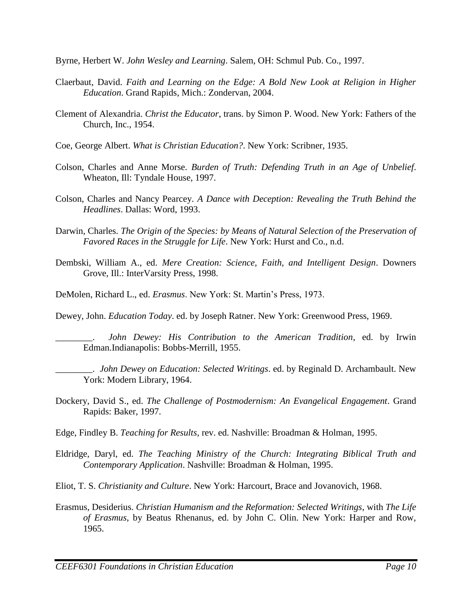Byrne, Herbert W. *John Wesley and Learning*. Salem, OH: Schmul Pub. Co., 1997.

- Claerbaut, David. *Faith and Learning on the Edge: A Bold New Look at Religion in Higher Education*. Grand Rapids, Mich.: Zondervan, 2004.
- Clement of Alexandria. *Christ the Educator*, trans. by Simon P. Wood. New York: Fathers of the Church, Inc., 1954.
- Coe, George Albert. *What is Christian Education?*. New York: Scribner, 1935.
- Colson, Charles and Anne Morse. *Burden of Truth: Defending Truth in an Age of Unbelief*. Wheaton, Ill: Tyndale House, 1997.
- Colson, Charles and Nancy Pearcey. *A Dance with Deception: Revealing the Truth Behind the Headlines*. Dallas: Word, 1993.
- Darwin, Charles. *The Origin of the Species: by Means of Natural Selection of the Preservation of Favored Races in the Struggle for Life*. New York: Hurst and Co., n.d.
- Dembski, William A., ed. *Mere Creation: Science, Faith, and Intelligent Design*. Downers Grove, Ill.: InterVarsity Press, 1998.
- DeMolen, Richard L., ed. *Erasmus*. New York: St. Martin's Press, 1973.

Dewey, John. *Education Today*. ed. by Joseph Ratner. New York: Greenwood Press, 1969.

\_\_\_\_\_\_\_\_. *John Dewey: His Contribution to the American Tradition*, ed. by Irwin Edman.Indianapolis: Bobbs-Merrill, 1955.

\_\_\_\_\_\_\_\_. *John Dewey on Education: Selected Writings*. ed. by Reginald D. Archambault. New York: Modern Library, 1964.

Dockery, David S., ed. *The Challenge of Postmodernism: An Evangelical Engagement*. Grand Rapids: Baker, 1997.

Edge, Findley B. *Teaching for Results*, rev. ed. Nashville: Broadman & Holman, 1995.

- Eldridge, Daryl, ed. *The Teaching Ministry of the Church: Integrating Biblical Truth and Contemporary Application*. Nashville: Broadman & Holman, 1995.
- Eliot, T. S. *Christianity and Culture*. New York: Harcourt, Brace and Jovanovich, 1968.
- Erasmus, Desiderius. *Christian Humanism and the Reformation: Selected Writings*, with *The Life of Erasmus*, by Beatus Rhenanus, ed. by John C. Olin. New York: Harper and Row, 1965.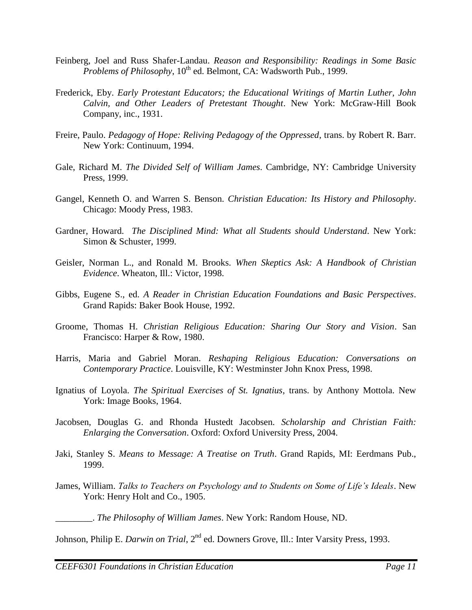- Feinberg, Joel and Russ Shafer-Landau. *Reason and Responsibility: Readings in Some Basic Problems of Philosophy*, 10<sup>th</sup> ed. Belmont, CA: Wadsworth Pub., 1999.
- Frederick, Eby. *Early Protestant Educators; the Educational Writings of Martin Luther, John Calvin, and Other Leaders of Pretestant Thought*. New York: McGraw-Hill Book Company, inc., 1931.
- Freire, Paulo. *Pedagogy of Hope: Reliving Pedagogy of the Oppressed*, trans. by Robert R. Barr. New York: Continuum, 1994.
- Gale, Richard M. *The Divided Self of William James*. Cambridge, NY: Cambridge University Press, 1999.
- Gangel, Kenneth O. and Warren S. Benson. *Christian Education: Its History and Philosophy*. Chicago: Moody Press, 1983.
- Gardner, Howard. *The Disciplined Mind: What all Students should Understand*. New York: Simon & Schuster, 1999.
- Geisler, Norman L., and Ronald M. Brooks. *When Skeptics Ask: A Handbook of Christian Evidence*. Wheaton, Ill.: Victor, 1998.
- Gibbs, Eugene S., ed. *A Reader in Christian Education Foundations and Basic Perspectives*. Grand Rapids: Baker Book House, 1992.
- Groome, Thomas H. *Christian Religious Education: Sharing Our Story and Vision*. San Francisco: Harper & Row, 1980.
- Harris, Maria and Gabriel Moran. *Reshaping Religious Education: Conversations on Contemporary Practice*. Louisville, KY: Westminster John Knox Press, 1998.
- Ignatius of Loyola. *The Spiritual Exercises of St. Ignatius*, trans. by Anthony Mottola. New York: Image Books, 1964.
- Jacobsen, Douglas G. and Rhonda Hustedt Jacobsen. *Scholarship and Christian Faith: Enlarging the Conversation*. Oxford: Oxford University Press, 2004.
- Jaki, Stanley S. *Means to Message: A Treatise on Truth*. Grand Rapids, MI: Eerdmans Pub., 1999.
- James, William. *Talks to Teachers on Psychology and to Students on Some of Life's Ideals*. New York: Henry Holt and Co., 1905.

\_\_\_\_\_\_\_\_. *The Philosophy of William James*. New York: Random House, ND.

Johnson, Philip E. *Darwin on Trial*, 2<sup>nd</sup> ed. Downers Grove, Ill.: Inter Varsity Press, 1993.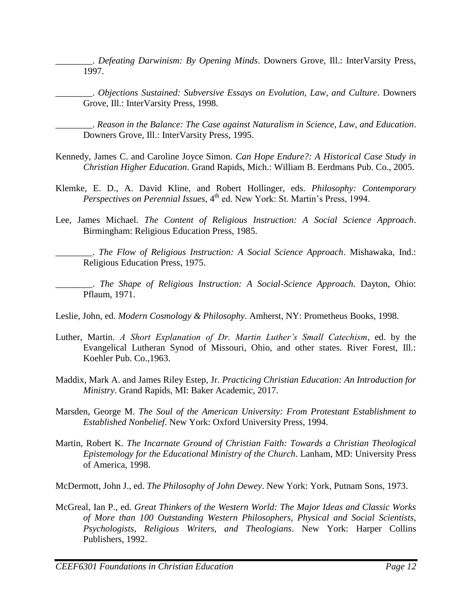\_\_\_\_\_\_\_\_. *Defeating Darwinism: By Opening Minds*. Downers Grove, Ill.: InterVarsity Press, 1997.

\_\_\_\_\_\_\_\_. *Objections Sustained: Subversive Essays on Evolution, Law, and Culture*. Downers Grove, Ill.: InterVarsity Press, 1998.

\_\_\_\_\_\_\_\_. *Reason in the Balance: The Case against Naturalism in Science, Law, and Education*. Downers Grove, Ill.: InterVarsity Press, 1995.

- Kennedy, James C. and Caroline Joyce Simon. *Can Hope Endure?: A Historical Case Study in Christian Higher Education*. Grand Rapids, Mich.: William B. Eerdmans Pub. Co., 2005.
- Klemke, E. D., A. David Kline, and Robert Hollinger, eds. *Philosophy: Contemporary Perspectives on Perennial Issues*, 4<sup>th</sup> ed. New York: St. Martin's Press, 1994.
- Lee, James Michael. *The Content of Religious Instruction: A Social Science Approach*. Birmingham: Religious Education Press, 1985.

\_\_\_\_\_\_\_\_. *The Flow of Religious Instruction: A Social Science Approach*. Mishawaka, Ind.: Religious Education Press, 1975.

\_\_\_\_\_\_\_\_. *The Shape of Religious Instruction: A Social-Science Approach*. Dayton, Ohio: Pflaum, 1971.

Leslie, John, ed. *Modern Cosmology & Philosophy*. Amherst, NY: Prometheus Books, 1998.

- Luther, Martin. *A Short Explanation of Dr. Martin Luther's Small Catechism*, ed. by the Evangelical Lutheran Synod of Missouri, Ohio, and other states. River Forest, Ill.: Koehler Pub. Co.,1963.
- Maddix, Mark A. and James Riley Estep, Jr. *Practicing Christian Education: An Introduction for Ministry*. Grand Rapids, MI: Baker Academic, 2017.
- Marsden, George M. *The Soul of the American University: From Protestant Establishment to Established Nonbelief*. New York: Oxford University Press, 1994.
- Martin, Robert K. *The Incarnate Ground of Christian Faith: Towards a Christian Theological Epistemology for the Educational Ministry of the Church*. Lanham, MD: University Press of America, 1998.

McDermott, John J., ed. *The Philosophy of John Dewey*. New York: York, Putnam Sons, 1973.

McGreal, Ian P., ed. *Great Thinkers of the Western World: The Major Ideas and Classic Works of More than 100 Outstanding Western Philosophers, Physical and Social Scientists, Psychologists, Religious Writers, and Theologians*. New York: Harper Collins Publishers, 1992.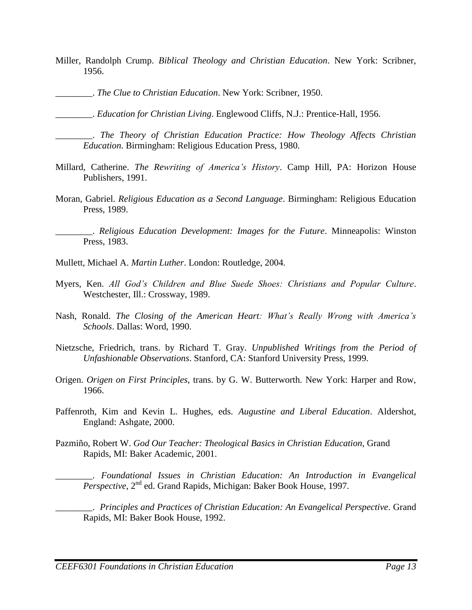- Miller, Randolph Crump. *Biblical Theology and Christian Education*. New York: Scribner, 1956.
	- \_\_\_\_\_\_\_\_. *The Clue to Christian Education*. New York: Scribner, 1950.

\_\_\_\_\_\_\_\_. *Education for Christian Living*. Englewood Cliffs, N.J.: Prentice-Hall, 1956.

\_\_\_\_\_\_\_\_. *The Theory of Christian Education Practice: How Theology Affects Christian Education*. Birmingham: Religious Education Press, 1980.

- Millard, Catherine. *The Rewriting of America's History*. Camp Hill, PA: Horizon House Publishers, 1991.
- Moran, Gabriel. *Religious Education as a Second Language*. Birmingham: Religious Education Press, 1989.

\_\_\_\_\_\_\_\_. *Religious Education Development: Images for the Future*. Minneapolis: Winston Press, 1983.

- Mullett, Michael A. *Martin Luther*. London: Routledge, 2004.
- Myers, Ken. *All God's Children and Blue Suede Shoes: Christians and Popular Culture*. Westchester, Ill.: Crossway, 1989.
- Nash, Ronald. *The Closing of the American Heart: What's Really Wrong with America's Schools*. Dallas: Word, 1990.
- Nietzsche, Friedrich, trans. by Richard T. Gray. *Unpublished Writings from the Period of Unfashionable Observations*. Stanford, CA: Stanford University Press, 1999.
- Origen. *Origen on First Principles*, trans. by G. W. Butterworth. New York: Harper and Row, 1966.
- Paffenroth, Kim and Kevin L. Hughes, eds. *Augustine and Liberal Education*. Aldershot, England: Ashgate, 2000.
- Pazmiño, Robert W. *God Our Teacher: Theological Basics in Christian Education*, Grand Rapids, MI: Baker Academic, 2001.

\_\_\_\_\_\_\_\_. *Foundational Issues in Christian Education: An Introduction in Evangelical Perspective*, 2<sup>nd</sup> ed. Grand Rapids, Michigan: Baker Book House, 1997.

\_\_\_\_\_\_\_\_. *Principles and Practices of Christian Education: An Evangelical Perspective*. Grand Rapids, MI: Baker Book House, 1992.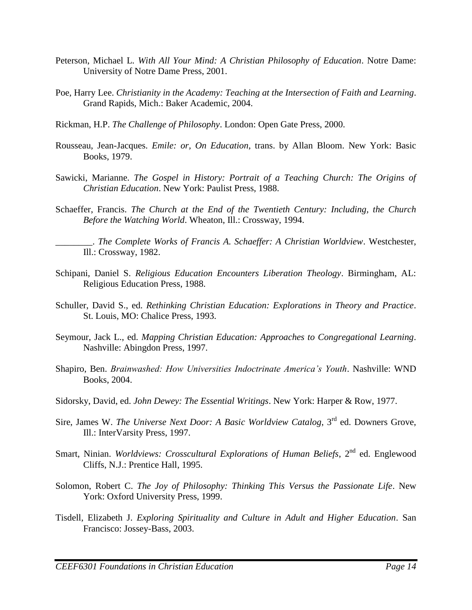- Peterson, Michael L. *With All Your Mind: A Christian Philosophy of Education*. Notre Dame: University of Notre Dame Press, 2001.
- Poe, Harry Lee. *Christianity in the Academy: Teaching at the Intersection of Faith and Learning*. Grand Rapids, Mich.: Baker Academic, 2004.
- Rickman, H.P. *The Challenge of Philosophy*. London: Open Gate Press, 2000.
- Rousseau, Jean-Jacques. *Emile: or, On Education*, trans. by Allan Bloom. New York: Basic Books, 1979.
- Sawicki, Marianne. *The Gospel in History: Portrait of a Teaching Church: The Origins of Christian Education*. New York: Paulist Press, 1988.
- Schaeffer, Francis. *The Church at the End of the Twentieth Century: Including, the Church Before the Watching World*. Wheaton, Ill.: Crossway, 1994.

\_\_\_\_\_\_\_\_. *The Complete Works of Francis A. Schaeffer: A Christian Worldview*. Westchester, Ill.: Crossway, 1982.

- Schipani, Daniel S. *Religious Education Encounters Liberation Theology*. Birmingham, AL: Religious Education Press, 1988.
- Schuller, David S., ed. *Rethinking Christian Education: Explorations in Theory and Practice*. St. Louis, MO: Chalice Press, 1993.
- Seymour, Jack L., ed. *Mapping Christian Education: Approaches to Congregational Learning*. Nashville: Abingdon Press, 1997.
- Shapiro, Ben. *Brainwashed: How Universities Indoctrinate America's Youth*. Nashville: WND Books, 2004.
- Sidorsky, David, ed. *John Dewey: The Essential Writings*. New York: Harper & Row, 1977.
- Sire, James W. *The Universe Next Door: A Basic Worldview Catalog*, 3rd ed. Downers Grove, Ill.: InterVarsity Press, 1997.
- Smart, Ninian. *Worldviews: Crosscultural Explorations of Human Beliefs*, 2<sup>nd</sup> ed. Englewood Cliffs, N.J.: Prentice Hall, 1995.
- Solomon, Robert C. *The Joy of Philosophy: Thinking This Versus the Passionate Life*. New York: Oxford University Press, 1999.
- Tisdell, Elizabeth J. *Exploring Spirituality and Culture in Adult and Higher Education*. San Francisco: Jossey-Bass, 2003.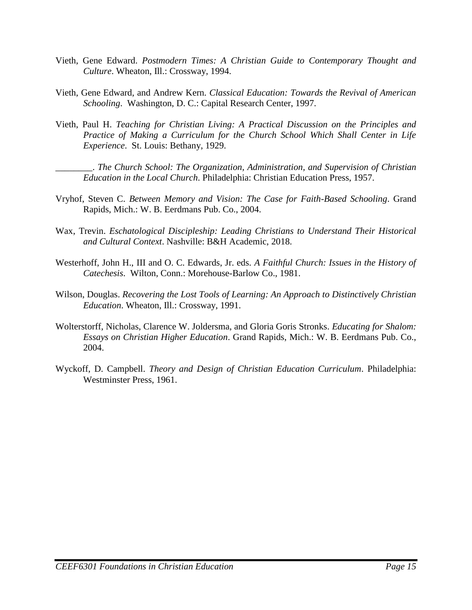- Vieth, Gene Edward. *Postmodern Times: A Christian Guide to Contemporary Thought and Culture*. Wheaton, Ill.: Crossway, 1994.
- Vieth, Gene Edward, and Andrew Kern. *Classical Education: Towards the Revival of American Schooling*. Washington, D. C.: Capital Research Center, 1997.
- Vieth, Paul H. *Teaching for Christian Living: A Practical Discussion on the Principles and Practice of Making a Curriculum for the Church School Which Shall Center in Life Experience*. St. Louis: Bethany, 1929.

\_\_\_\_\_\_\_\_. *The Church School: The Organization, Administration, and Supervision of Christian Education in the Local Church*. Philadelphia: Christian Education Press, 1957.

- Vryhof, Steven C. *Between Memory and Vision: The Case for Faith-Based Schooling*. Grand Rapids, Mich.: W. B. Eerdmans Pub. Co., 2004.
- Wax, Trevin. *Eschatological Discipleship: Leading Christians to Understand Their Historical and Cultural Context*. Nashville: B&H Academic, 2018.
- Westerhoff, John H., III and O. C. Edwards, Jr. eds. *A Faithful Church: Issues in the History of Catechesis*. Wilton, Conn.: Morehouse-Barlow Co., 1981.
- Wilson, Douglas. *Recovering the Lost Tools of Learning: An Approach to Distinctively Christian Education*. Wheaton, Ill.: Crossway, 1991.
- Wolterstorff, Nicholas, Clarence W. Joldersma, and Gloria Goris Stronks. *Educating for Shalom: Essays on Christian Higher Education*. Grand Rapids, Mich.: W. B. Eerdmans Pub. Co., 2004.
- Wyckoff, D. Campbell. *Theory and Design of Christian Education Curriculum*. Philadelphia: Westminster Press, 1961.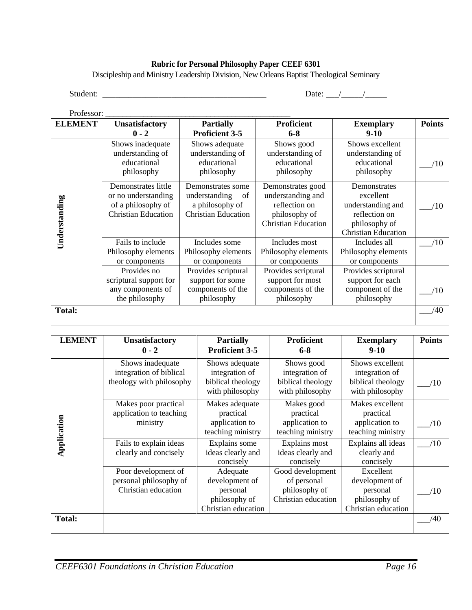#### **Rubric for Personal Philosophy Paper CEEF 6301**

Discipleship and Ministry Leadership Division, New Orleans Baptist Theological Seminary

Professor: \_\_\_\_\_\_\_\_\_\_\_\_\_\_\_\_\_\_\_\_\_\_\_\_\_\_\_\_\_\_\_\_\_\_\_\_\_\_\_\_\_\_\_\_

Student: \_\_\_\_\_\_\_\_\_\_\_\_\_\_\_\_\_\_\_\_\_\_\_\_\_\_\_\_\_\_\_\_\_\_\_\_\_\_ Date: \_\_\_/\_\_\_\_\_/\_\_\_\_\_

| otess<br>ŃГ. |  |
|--------------|--|
|              |  |

| <b>ELEMENT</b> | <b>Unsatisfactory</b>                                                                          | <b>Partially</b>                                                                          | <b>Proficient</b>                                                                                      | <b>Exemplary</b>                                                                                               | <b>Points</b> |
|----------------|------------------------------------------------------------------------------------------------|-------------------------------------------------------------------------------------------|--------------------------------------------------------------------------------------------------------|----------------------------------------------------------------------------------------------------------------|---------------|
|                | $0 - 2$                                                                                        | <b>Proficient 3-5</b>                                                                     | $6 - 8$                                                                                                | $9-10$                                                                                                         |               |
|                | Shows inadequate<br>understanding of<br>educational<br>philosophy                              | Shows adequate<br>understanding of<br>educational<br>philosophy                           | Shows good<br>understanding of<br>educational<br>philosophy                                            | Shows excellent<br>understanding of<br>educational<br>philosophy                                               | /10           |
| Understanding  | Demonstrates little<br>or no understanding<br>of a philosophy of<br><b>Christian Education</b> | Demonstrates some<br>understanding<br>of<br>a philosophy of<br><b>Christian Education</b> | Demonstrates good<br>understanding and<br>reflection on<br>philosophy of<br><b>Christian Education</b> | Demonstrates<br>excellent<br>understanding and<br>reflection on<br>philosophy of<br><b>Christian Education</b> | /10           |
|                | Fails to include<br>Philosophy elements<br>or components                                       | Includes some<br>Philosophy elements<br>or components                                     | Includes most<br>Philosophy elements<br>or components                                                  | Includes all<br>Philosophy elements<br>or components                                                           | /10           |
|                | Provides no<br>scriptural support for<br>any components of<br>the philosophy                   | Provides scriptural<br>support for some<br>components of the<br>philosophy                | Provides scriptural<br>support for most<br>components of the<br>philosophy                             | Provides scriptural<br>support for each<br>component of the<br>philosophy                                      | /10           |
| Total:         |                                                                                                |                                                                                           |                                                                                                        |                                                                                                                | /40           |

| <b>LEMENT</b> | <b>Unsatisfactory</b><br>$0 - 2$                                        | <b>Partially</b><br><b>Proficient 3-5</b>                                      | <b>Proficient</b><br>$6 - 8$                                            | <b>Exemplary</b><br>$9-10$                                                      | <b>Points</b> |
|---------------|-------------------------------------------------------------------------|--------------------------------------------------------------------------------|-------------------------------------------------------------------------|---------------------------------------------------------------------------------|---------------|
|               | Shows inadequate<br>integration of biblical<br>theology with philosophy | Shows adequate<br>integration of<br>biblical theology<br>with philosophy       | Shows good<br>integration of<br>biblical theology<br>with philosophy    | Shows excellent<br>integration of<br>biblical theology<br>with philosophy       | /10           |
| Application   | Makes poor practical<br>application to teaching<br>ministry             | Makes adequate<br>practical<br>application to<br>teaching ministry             | Makes good<br>practical<br>application to<br>teaching ministry          | Makes excellent<br>practical<br>application to<br>teaching ministry             | /10           |
|               | Fails to explain ideas<br>clearly and concisely                         | Explains some<br>ideas clearly and<br>concisely                                | Explains most<br>ideas clearly and<br>concisely                         | Explains all ideas<br>clearly and<br>concisely                                  | /10           |
|               | Poor development of<br>personal philosophy of<br>Christian education    | Adequate<br>development of<br>personal<br>philosophy of<br>Christian education | Good development<br>of personal<br>philosophy of<br>Christian education | Excellent<br>development of<br>personal<br>philosophy of<br>Christian education | (10           |
| <b>Total:</b> |                                                                         |                                                                                |                                                                         |                                                                                 | /40           |